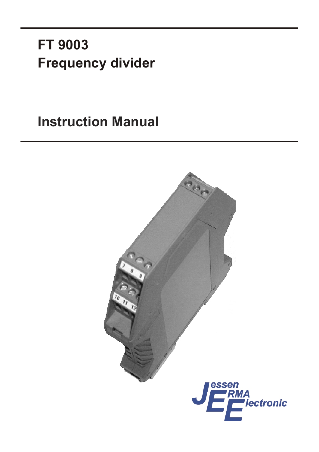# **FT 9003 Frequency divider**

**Instruction Manual** 

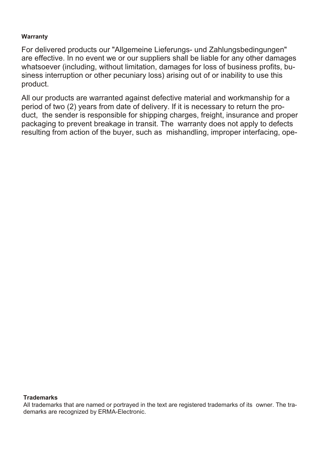#### **Warranty**

For delivered products our "Allgemeine Lieferungs- und Zahlungsbedingungen" are effective. In no event we or our suppliers shall be liable for any other damages what soe ver (including, without limitation, da mages for loss of business profits, business interruption or other pecuniary loss) arising out of or inability to use this product.

All our products are warranted against defective material and workmanship for a period of two (2) years from date of delivery. If it is necessary to return the product, the sender is responsible for shipping charges, freight, insurance and proper packaging to prevent breakage in transit. The warranty does not apply to defects resulting from action of the buyer, such as mishand ling, improper interfacing, ope-

#### **Tra de marks**

All trademarks that are named or portrayed in the text are registered trademarks of its owner. The trademarks are recognized by ERMA-Electronic.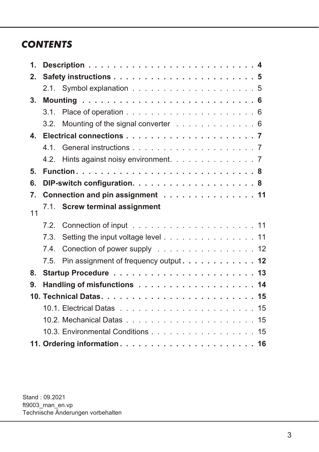### *CON TENTS*

| $\mathbf{1}$ . |                                   |                                             |  |  |  |  |
|----------------|-----------------------------------|---------------------------------------------|--|--|--|--|
| 2.             |                                   |                                             |  |  |  |  |
|                |                                   |                                             |  |  |  |  |
| 3 <sub>1</sub> |                                   |                                             |  |  |  |  |
|                |                                   |                                             |  |  |  |  |
|                |                                   | 3.2. Mounting of the signal converter 6     |  |  |  |  |
| 4.             |                                   |                                             |  |  |  |  |
|                |                                   |                                             |  |  |  |  |
|                |                                   | 4.2. Hints against noisy environment. 7     |  |  |  |  |
| 5.             |                                   |                                             |  |  |  |  |
| 6.             |                                   |                                             |  |  |  |  |
| 7.             | Connection and pin assignment 11  |                                             |  |  |  |  |
| 11             |                                   | 7.1. Screw terminal assignment              |  |  |  |  |
|                |                                   |                                             |  |  |  |  |
|                | 7.3                               | Setting the input voltage level 11          |  |  |  |  |
|                | 7.4.                              | Conection of power supply 12                |  |  |  |  |
|                |                                   | 7.5. Pin assignment of frequency output. 12 |  |  |  |  |
| 8.             |                                   |                                             |  |  |  |  |
| 9.             |                                   |                                             |  |  |  |  |
|                |                                   |                                             |  |  |  |  |
|                |                                   |                                             |  |  |  |  |
|                |                                   |                                             |  |  |  |  |
|                | 10.3. Environmental Conditions 15 |                                             |  |  |  |  |
|                |                                   |                                             |  |  |  |  |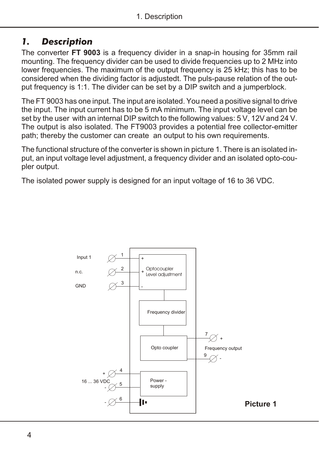### <span id="page-3-0"></span>*1. Description*

The converter **FT 9003** is a frequency divider in a snap-in housing for 35mm rail mounting. The frequency divider can be used to divide frequencies up to 2 MHz into lower frequencies. The maximum of the output frequency is 25 kHz; this has to be considered when the dividing factor is adjustedt. The puls-pause relation of the output frequency is 1:1. The divider can be set by a DIP switch and a jumperblock.

The FT 9003 has one input. The input are isolated. You need a positive signal to drive the input. The input current has to be 5 mA minimum. The input voltage level can be set by the user with an internal DIP switch to the following values: 5 V, 12V and 24 V. The output is also isolated. The FT9003 provides a potential free collector-emitter path; thereby the customer can create an output to his own requirements.

The functional structure of the converter is shown in picture 1. There is an isolated input, an input voltage level adjustment, a frequency divider and an isolated opto-coupler output.

The isolated power supply is designed for an input voltage of 16 to 36 VDC.

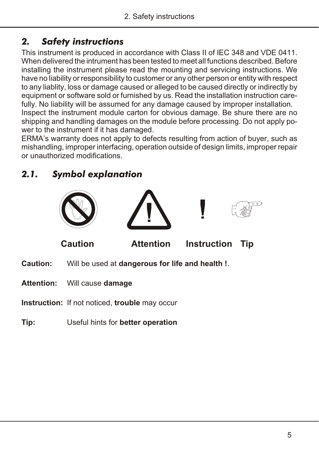### <span id="page-4-0"></span>*2. Safety instructions*

This instrument is produced in accordance with Class II of IEC 348 and VDE 0411. When delivered the intrument has been tested to meet all functions described. Before in stalling the instrument please read the mounting and servicing instructions. We have no liability or responsibility to customer or any other person or entity with respect to any liablity, loss or damage caused or alleged to be caused directly or indirectly by equipment or software sold or furnished by us. Read the installation instruction carefully. No liability will be assumed for any damage caused by improper installation. Inspect the instrument module carton for obvious damage. Be shure there are no shipping and handling damages on the module before processing. Do not apply power to the instrument if it has damaged.

ERMA's warranty does not apply to defects resulting from action of buyer, such as mis hand ling, im proper interfacing, operation out side of design limits, improper repair or un au tho ri zed mo di fi ca tions.

### *2.1. Symbol explanation*



- **Attention:** Will cause **damage**
- **Instruction:** If not noticed, **trouble** may occur
- **Tip:** Useful hints for **better operation**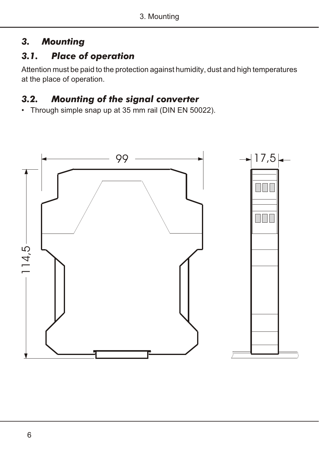### <span id="page-5-0"></span>*3. Mounting*

### *3.1. Place of operation*

Attention must be paid to the protection against humidity, dust and high temperatures at the place of operation.

### *3.2. Mounting of the signal converter*

• Through simple snap up at 35 mm rail (DIN EN 50022).

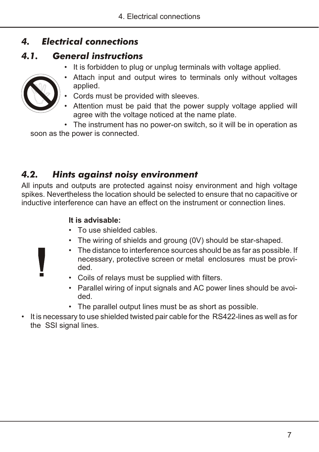### <span id="page-6-0"></span>*4. Electrical connections*

### *4.1. General instructions*

• It is forbidden to plug or unplug terminals with voltage applied.

![](_page_6_Picture_4.jpeg)

- applied. Cords must be provided with sleeves.
- 
- Attention must be paid that the power supply voltage applied will agree with the voltage noticed at the name plate.

• Attach input and output wires to terminals only without voltages

• The instrument has no power-on switch, so it will be in operation as soon as the power is connected.

### *4.2. Hints against noisy environment*

All inputs and outputs are protected against noisy environment and high voltage spikes. Nevertheless the location should be selected to ensure that no capacitive or inductive interference can have an effect on the instrument or connection lines.

### It is advisable:

- To use shielded cables.
- The wiring of shields and groung (0V) should be star-shaped.
- The distance to interference sources should be as far as possible. If necessary, protective screen or metal enclosures must be provided.
- Coils of relays must be supplied with filters.
- Parallel wiring of input signals and AC power lines should be avoided.
- The parallel output lines must be as short as possible.
- It is necessary to use shielded twisted pair cable for the RS422-lines as well as for the SSI signal lines.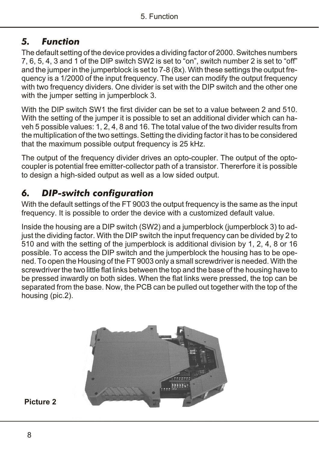### <span id="page-7-0"></span>*5. Function*

The default setting of the device provides a dividing factor of 2000. Switches numbers 7, 6, 5, 4, 3 and 1 of the DIP switch SW2 is set to "on", switch number 2 is set to "off" and the jumper in the jumperblock is set to 7-8 (8x). With these settings the output frequency is a  $1/2000$  of the input frequency. The user can modify the output frequency with two frequency dividers. One divider is set with the DIP switch and the other one with the jumper setting in jumperblock 3.

With the DIP switch SW1 the first divider can be set to a value between  $2$  and  $510$ . With the setting of the jumper it is possible to set an additional divider which can haveh 5 possible values: 1, 2, 4, 8 and 16. The total value of the two divider results from the multiplication of the two settings. Setting the dividing factor it has to be considered that the maximum possible output frequency is 25 kHz.

The output of the frequency divider drives an opto-coupler. The output of the optocoupler is potential free emitter-collector path of a transistor. Thererfore it is possible to design a high-sided output as well as a low sided output.

### *6. DIP-switch configuration*

With the default settings of the FT 9003 the output frequency is the same as the input frequency. It is possible to order the device with a customized default value.

Inside the housing are a DIP switch (SW2) and a jumperblock (jumperblock 3) to adjust the dividing factor. With the DIP switch the input frequency can be divided by 2 to  $510$  and with the setting of the jumperblock is additional division by 1, 2, 4, 8 or 16 possible. To access the DIP switch and the jumperblock the housing has to be opened. To open the Housing of the FT 9003 only a small screwdriver is needed. With the screwdriver the two little flat links between the top and the base of the housing have to be pressed inwardly on both sides. When the flat links were pressed, the top can be separated from the base. Now, the PCB can be pulled out to gether with the top of the housing (pic.2).

![](_page_7_Picture_8.jpeg)

#### Picture 2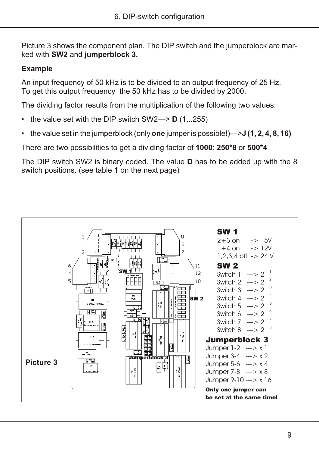Picture 3 shows the component plan. The DIP switch and the jumperblock are marked with **SW2** and **jumperblock 3.** 

#### **Ex amp le**

An input frequency of 50 kHz is to be divided to an output frequency of 25 Hz. To get this output frequency the 50 kHz has to be divided by 2000.

The dividing factor results from the multiplication of the following two values:

- the value set with the DIP switch  $SW2 \rightarrow D(1...255)$
- the value set in the jumperblock (only **one** jumper is possible!)— $>$ **J (1, 2, 4, 8, 16)**

There are two possibilities to get a dividing factor of 1000: 250\*8 or 500\*4

The DIP switch SW2 is binary coded. The value **D** has to be added up with the 8 switch positions. (see table 1 on the next page)

![](_page_8_Figure_9.jpeg)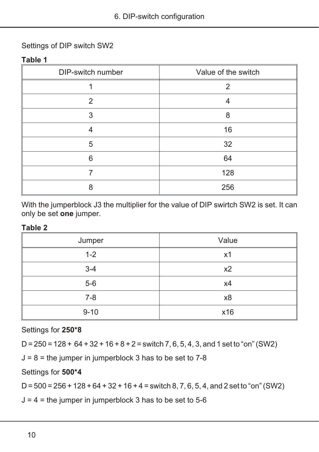#### Settings of DIP switch SW2

#### **Table 1**

| DIP-switch number | Value of the switch |
|-------------------|---------------------|
|                   |                     |
| 2                 |                     |
| 3                 | 8                   |
|                   | 16                  |
| 5                 | 32                  |
| 6                 | 64                  |
|                   | 128                 |
| я                 | 256                 |

With the jumperblock J3 the multiplier for the value of DIP swirtch SW2 is set. It can only be set one jumper.

#### **Table 2**

| Jumper   | Value |
|----------|-------|
| $1 - 2$  | x1    |
| $3 - 4$  | x2    |
| $5-6$    | x4    |
| $7 - 8$  | x8    |
| $9 - 10$ | x16   |

Settings for 250\*8

 $D = 250 = 128 + 64 + 32 + 16 + 8 + 2 =$  switch 7, 6, 5, 4, 3, and 1 set to "on" (SW2)

 $J = 8$  = the jumper in jumperblock 3 has to be set to 7-8

Settings for 500\*4

 $D = 500 = 256 + 128 + 64 + 32 + 16 + 4 =$  switch 8, 7, 6, 5, 4, and 2 set to "on" (SW2)

 $J = 4$  = the jumper in jumperblock 3 has to be set to 5-6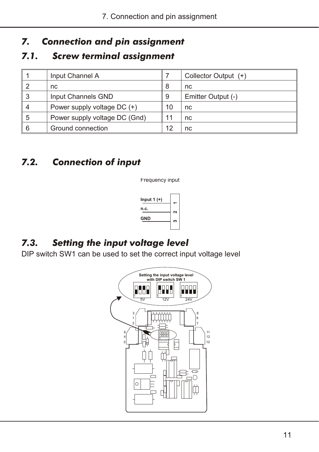### <span id="page-10-0"></span>*7. Connection and pin assignment*

### **7.1.** Screw terminal assignment

|   | Input Channel A               |    | Collector Output (+) |
|---|-------------------------------|----|----------------------|
|   | nc                            | 8  | nc                   |
| 3 | Input Channels GND            | 9  | Emitter Output (-)   |
| 4 | Power supply voltage DC (+)   | 10 | nc                   |
| 5 | Power supply voltage DC (Gnd) | 11 | nc                   |
| 6 | Ground connection             | 12 | nc                   |

### *7.2. Connection of input*

Frequency input

| Input 1 (+) |        |
|-------------|--------|
| n.c.        | $\sim$ |
| GND         | ∞      |
|             |        |

### *7.3. Setting the input voltage level*

DIP switch SW1 can be used to set the correct input voltage level

![](_page_10_Picture_9.jpeg)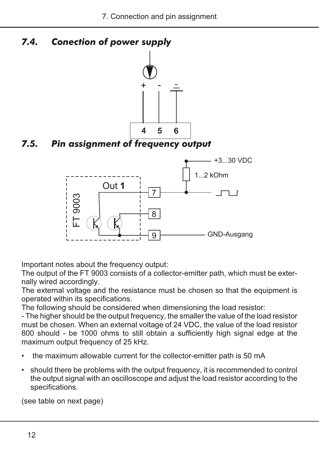<span id="page-11-0"></span>*7.4. Conection of power supply*

![](_page_11_Figure_2.jpeg)

*7.5. Pin assignment of frequency output*

![](_page_11_Figure_4.jpeg)

Important notes about the frequency output:

The output of the FT 9003 consists of a collector-emitter path, which must be externally wired accordingly.

The external voltage and the resistance must be chosen so that the equipment is operated within its specifications.

The following should be considered when dimensioning the load resistor:

- The higher should be the output frequency, the smaller the value of the load resistor must be chosen. When an external voltage of 24 VDC, the value of the load resistor 800 should - be 1000 ohms to still obtain a sufficiently high signal edge at the maximum output frequency of 25 kHz.

- the maximum allowable current for the collector-emitter path is 50 mA
- should there be problems with the output frequency, it is recommended to control the output signal with an oscilloscope and adjust the load resistor according to the specifications.

(see table on next page)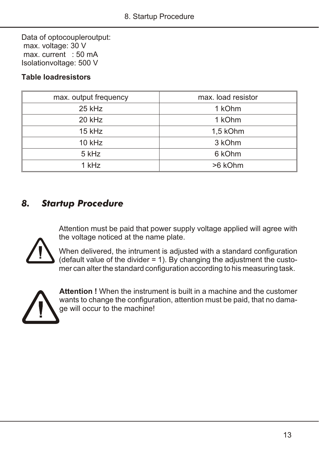<span id="page-12-0"></span>Data of optocoupleroutput: max. voltage: 30 V  $max. current : 50 mA$ Isolation voltage: 500 V

#### **Table loadresistors**

| max. output frequency | max. load resistor |
|-----------------------|--------------------|
| $25$ kHz              | 1 kOhm             |
| 20 kHz                | 1 kOhm             |
| 15 kHz                | 1,5 kOhm           |
| 10 kHz                | 3 kOhm             |
| 5 kHz                 | 6 kOhm             |
| 1 kHz                 | >6 kOhm            |

### *8. Startup Procedure*

Attention must be paid that power supply voltage applied will agree with the voltage noticed at the name plate.

![](_page_12_Picture_6.jpeg)

When delivered, the intrument is adjusted with a standard configuration (default value of the divider = 1). By changing the adjustment the custo- $\sim$  mer can alter the standard configuration according to his measuring task.

![](_page_12_Picture_8.jpeg)

**Attention !** When the instrument is built in a machine and the customer wants to change the configuration, attention must be paid, that no damage will occur to the machine!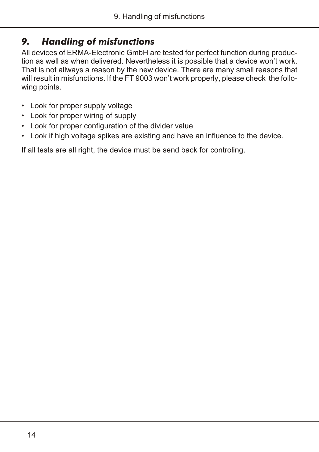### <span id="page-13-0"></span>*9. Handling of misfunctions*

All devices of ERMA-Electronic GmbH are tested for perfect function during production as well as when delivered. Nevertheless it is possible that a device won't work. That is not allways a reason by the new device. There are many small reasons that will result in misfunctions. If the FT 9003 won't work properly, please check the following points.

- Look for proper supply voltage
- Look for proper wiring of supply
- Look for proper configuration of the divider value
- Look if high voltage spikes are existing and have an influence to the device.

If all tests are all right, the device must be send back for controling.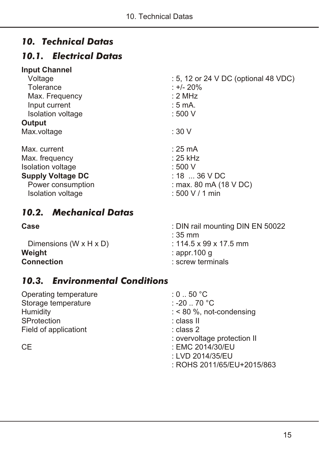### <span id="page-14-0"></span>*10. Technical Datas*

### *10.1. Electrical Datas*

#### **Input Channel**

| Voltage                  | : 5, 12 or 24 V DC (optional 48 VDC) |  |  |
|--------------------------|--------------------------------------|--|--|
| Tolerance                | : +/- 20%                            |  |  |
| Max. Frequency           | : 2 MHz<br>: 5 mA.                   |  |  |
| Input current            |                                      |  |  |
| Isolation voltage        | : 500 V                              |  |  |
| Output                   |                                      |  |  |
| Max.voltage              | :30V                                 |  |  |
| Max. current             | $: 25 \text{ mA}$                    |  |  |
| Max. frequency           | : 25 kHz                             |  |  |
| <b>Isolation voltage</b> | : 500 V                              |  |  |
| <b>Supply Voltage DC</b> | $: 18$ 36 V DC                       |  |  |
| Power consumption        | : max. 80 mA (18 V DC)               |  |  |
| Isolation voltage        | : 500 V / 1 min                      |  |  |
|                          |                                      |  |  |

### *10.2. Mechanical Datas*

Dimensions (W x H x D) : 114.5 x 99 x 17.5 mm **Weight** : appr.100 g<br> **Connection**<br>
Screw term

- **Case** : DIN rail mounting DIN EN 50022
	- : 35 mm
	-
	-
	- **Connection** : screw terminals

### *10.3. Environmental Conditions*

Operating temperature : 0 .. 50 °C<br>Storage temperature : -20 .. 70 °C Storage temperature<br>Humidity SProtection : class II Field of applicationt : class 2

- 
- 
- $:$  < 80 %, not-condensing
- 
- 
- : overvoltage protection II
- CE : EMC 2014/30/EU
	- : LVD 2014/35/EU
	- : ROHS 2011/65/EU+2015/863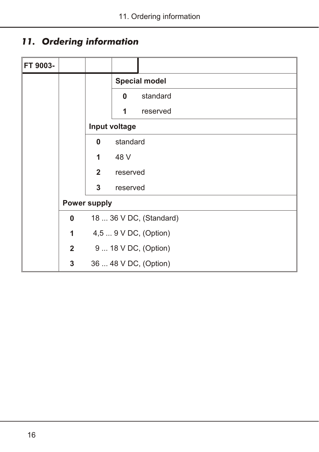## <span id="page-15-0"></span>*11. Ordering information*

| FT 9003- |             |                     |                                                                        |                      |
|----------|-------------|---------------------|------------------------------------------------------------------------|----------------------|
|          |             |                     |                                                                        | <b>Special model</b> |
|          |             |                     | $\bf{0}$                                                               | standard             |
|          |             |                     | 1                                                                      | reserved             |
|          |             |                     | Input voltage                                                          |                      |
|          |             | 0                   | standard                                                               |                      |
|          |             | 1                   | 48 V                                                                   |                      |
|          |             | $\overline{2}$      | reserved                                                               |                      |
|          |             | 3                   | reserved                                                               |                      |
|          |             | <b>Power supply</b> |                                                                        |                      |
|          | $\bf{0}$    |                     | 18  36 V DC, (Standard)                                                |                      |
|          | 1           |                     | 4,5  9 V DC, (Option)<br>9  18 V DC, (Option)<br>36  48 V DC, (Option) |                      |
|          | $2^{\circ}$ |                     |                                                                        |                      |
|          | 3           |                     |                                                                        |                      |